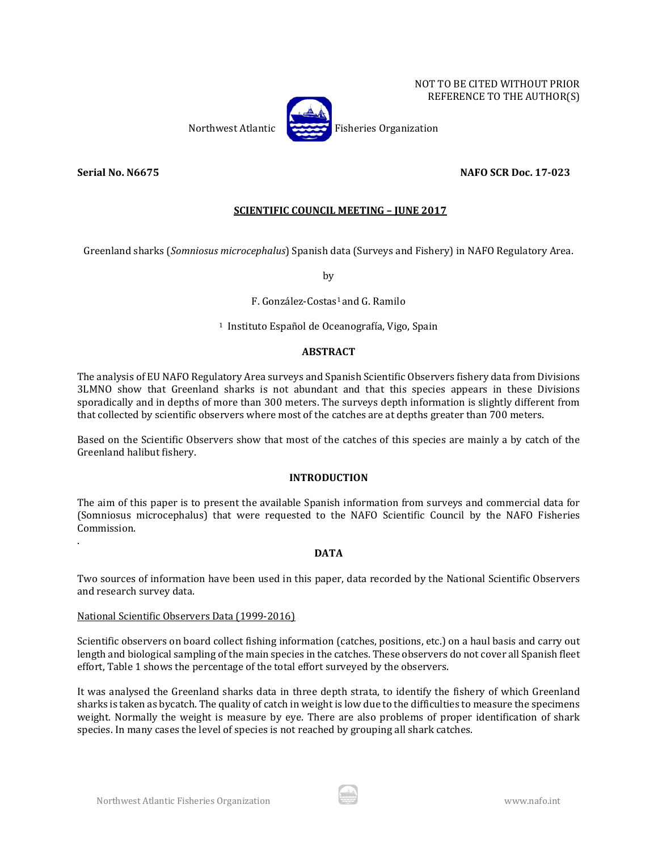NOT TO BE CITED WITHOUT PRIOR REFERENCE TO THE AUTHOR(S)

Northwest Atlantic Fisheries Organization

**Serial No. N6675 NAFO SCR Doc. 17-023**

.

# **SCIENTIFIC COUNCIL MEETING – JUNE 2017**

Greenland sharks (*Somniosus microcephalus*) Spanish data (Surveys and Fishery) in NAFO Regulatory Area.

by

# F. González-Costas1 and G. Ramilo

1 Instituto Español de Oceanografía, Vigo, Spain

## **ABSTRACT**

The analysis of EU NAFO Regulatory Area surveys and Spanish Scientific Observers fishery data from Divisions 3LMNO show that Greenland sharks is not abundant and that this species appears in these Divisions sporadically and in depths of more than 300 meters. The surveys depth information is slightly different from that collected by scientific observers where most of the catches are at depths greater than 700 meters.

Based on the Scientific Observers show that most of the catches of this species are mainly a by catch of the Greenland halibut fishery.

## **INTRODUCTION**

The aim of this paper is to present the available Spanish information from surveys and commercial data for (Somniosus microcephalus) that were requested to the NAFO Scientific Council by the NAFO Fisheries Commission.

## **DATA**

Two sources of information have been used in this paper, data recorded by the National Scientific Observers and research survey data.

## National Scientific Observers Data (1999-2016)

Scientific observers on board collect fishing information (catches, positions, etc.) on a haul basis and carry out length and biological sampling of the main species in the catches. These observers do not cover all Spanish fleet effort, Table 1 shows the percentage of the total effort surveyed by the observers.

It was analysed the Greenland sharks data in three depth strata, to identify the fishery of which Greenland sharks is taken as bycatch. The quality of catch in weight is low due to the difficulties to measure the specimens weight. Normally the weight is measure by eye. There are also problems of proper identification of shark species. In many cases the level of species is not reached by grouping all shark catches.

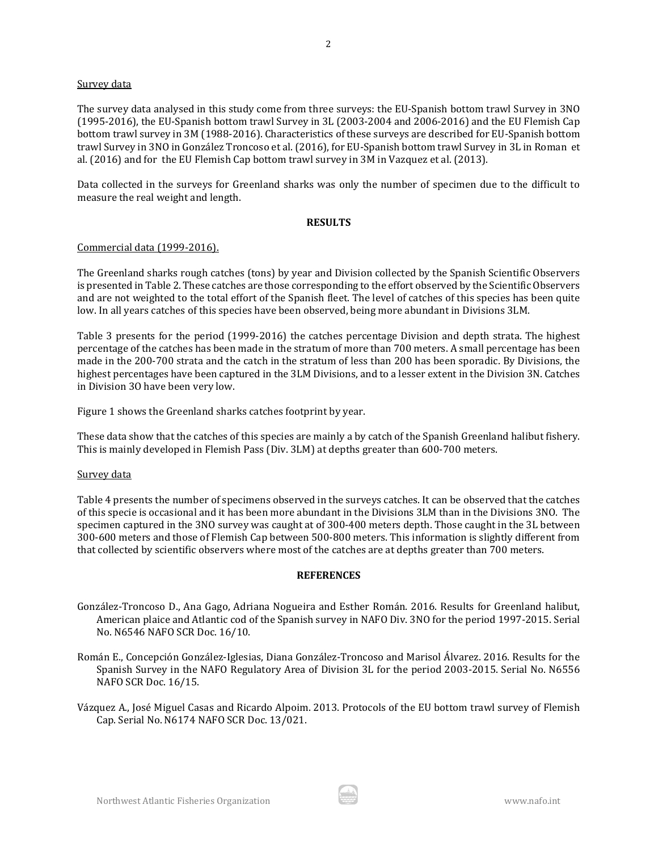#### Survey data

The survey data analysed in this study come from three surveys: the EU-Spanish bottom trawl Survey in 3NO (1995-2016), the EU-Spanish bottom trawl Survey in 3L (2003-2004 and 2006-2016) and the EU Flemish Cap bottom trawl survey in 3M (1988-2016). Characteristics of these surveys are described for EU-Spanish bottom trawl Survey in 3NO in González Troncoso et al. (2016), for EU-Spanish bottom trawl Survey in 3L in Roman et al. (2016) and for the EU Flemish Cap bottom trawl survey in 3M in Vazquez et al. (2013).

Data collected in the surveys for Greenland sharks was only the number of specimen due to the difficult to measure the real weight and length.

## **RESULTS**

## Commercial data (1999-2016).

The Greenland sharks rough catches (tons) by year and Division collected by the Spanish Scientific Observers is presented in Table 2. These catches are those corresponding to the effort observed by the Scientific Observers and are not weighted to the total effort of the Spanish fleet. The level of catches of this species has been quite low. In all years catches of this species have been observed, being more abundant in Divisions 3LM.

Table 3 presents for the period (1999-2016) the catches percentage Division and depth strata. The highest percentage of the catches has been made in the stratum of more than 700 meters. A small percentage has been made in the 200-700 strata and the catch in the stratum of less than 200 has been sporadic. By Divisions, the highest percentages have been captured in the 3LM Divisions, and to a lesser extent in the Division 3N. Catches in Division 3O have been very low.

Figure 1 shows the Greenland sharks catches footprint by year.

These data show that the catches of this species are mainly a by catch of the Spanish Greenland halibut fishery. This is mainly developed in Flemish Pass (Div. 3LM) at depths greater than 600-700 meters.

## Survey data

Table 4 presents the number of specimens observed in the surveys catches. It can be observed that the catches of this specie is occasional and it has been more abundant in the Divisions 3LM than in the Divisions 3NO. The specimen captured in the 3NO survey was caught at of 300-400 meters depth. Those caught in the 3L between 300-600 meters and those of Flemish Cap between 500-800 meters. This information is slightly different from that collected by scientific observers where most of the catches are at depths greater than 700 meters.

## **REFERENCES**

- González-Troncoso D., Ana Gago, Adriana Nogueira and Esther Román. 2016. Results for Greenland halibut, American plaice and Atlantic cod of the Spanish survey in NAFO Div. 3NO for the period 1997-2015. Serial No. N6546 NAFO SCR Doc. 16/10.
- Román E., Concepción González-Iglesias, Diana González-Troncoso and Marisol Álvarez. 2016. Results for the Spanish Survey in the NAFO Regulatory Area of Division 3L for the period 2003-2015. Serial No. N6556 NAFO SCR Doc. 16/15.
- Vázquez A., José Miguel Casas and Ricardo Alpoim. 2013. Protocols of the EU bottom trawl survey of Flemish Cap. Serial No. N6174 NAFO SCR Doc. 13/021.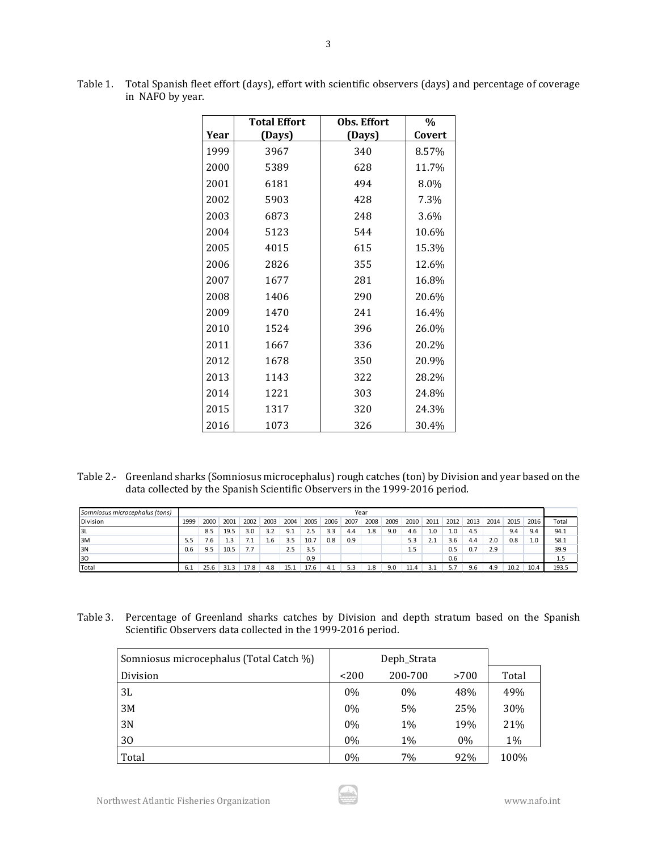|      | <b>Total Effort</b> | Obs. Effort | $\%$   |
|------|---------------------|-------------|--------|
| Year | (Days)              | (Days)      | Covert |
| 1999 | 3967                | 340         | 8.57%  |
| 2000 | 5389                | 628         | 11.7%  |
| 2001 | 6181                | 494         | 8.0%   |
| 2002 | 5903                | 428         | 7.3%   |
| 2003 | 6873                | 248         | 3.6%   |
| 2004 | 5123                | 544         | 10.6%  |
| 2005 | 4015                | 615         | 15.3%  |
| 2006 | 2826                | 355         | 12.6%  |
| 2007 | 1677                | 281         | 16.8%  |
| 2008 | 1406                | 290         | 20.6%  |
| 2009 | 1470                | 241         | 16.4%  |
| 2010 | 1524                | 396         | 26.0%  |
| 2011 | 1667                | 336         | 20.2%  |
| 2012 | 1678                | 350         | 20.9%  |
| 2013 | 1143                | 322         | 28.2%  |
| 2014 | 1221                | 303         | 24.8%  |
| 2015 | 1317                | 320         | 24.3%  |
| 2016 | 1073                | 326         | 30.4%  |

Table 1. Total Spanish fleet effort (days), effort with scientific observers (days) and percentage of coverage in NAFO by year.

3

Table 2.- Greenland sharks (Somniosus microcephalus) rough catches (ton) by Division and year based on the data collected by the Spanish Scientific Observers in the 1999-2016 period.

| Somniosus microcephalus (tons) |      | Year |      |      |      |                |      |      |      |      |      |      |      |      |      |      |      |      |       |
|--------------------------------|------|------|------|------|------|----------------|------|------|------|------|------|------|------|------|------|------|------|------|-------|
| <b>Division</b>                | 1999 | 2000 | 2001 | 2002 | 2003 | 2004           | 2005 | 2006 | 2007 | 2008 | 2009 | 2010 | 2011 | 2012 | 2013 | 2014 | 2015 | 2016 | Total |
| 3L                             |      | 8.5  | 19.5 | 3.0  | 3.2  | Q <sub>1</sub> | 2.5  | 3.3  | 4.4  | 1.8  | 9.0  | 4.6  | 1.0  | 1.0  | 4.5  |      | 9.4  | 9.4  | 94.1  |
| 13M                            | 5.5  | 1.6  |      |      | 1.6  | 3.5            | 10.7 | 0.8  | 0.9  |      |      | 5.3  | 2.1  | 3.6  | 4.4  | 2.0  | 0.8  | 1.0  | 58.1  |
| 3N                             | 0.6  | 9.5  | 10.5 | 77   |      | 2.5            | 3.5  |      |      |      |      | 1.5  |      | 0.5  | 0.7  | 2.9  |      |      | 39.9  |
| 30                             |      |      |      |      |      |                | 0.9  |      |      |      |      |      |      | 0.6  |      |      |      |      | 1.5   |
| Total                          | 6.1  | 25.6 | 31.3 | 17.8 | 4.8  | 15.1           | 17.6 | 4.1  | 5.3  | 1.8  | 9.0  | 11.4 |      | 5.7  | 9.6  | 4.9  | 10.2 | 10.4 | 193.5 |

Table 3. Percentage of Greenland sharks catches by Division and depth stratum based on the Spanish Scientific Observers data collected in the 1999-2016 period.

| Somniosus microcephalus (Total Catch %) |       |         |      |       |
|-----------------------------------------|-------|---------|------|-------|
| Division                                | 200   | 200-700 | >700 | Total |
| 3L                                      | $0\%$ | 0%      | 48%  | 49%   |
| 3M                                      | 0%    | 5%      | 25%  | 30%   |
| 3N                                      | 0%    | 1%      | 19%  | 21%   |
| 30                                      | $0\%$ | 1%      | 0%   | 1%    |
| Total                                   | $0\%$ | 7%      | 92%  | 100%  |